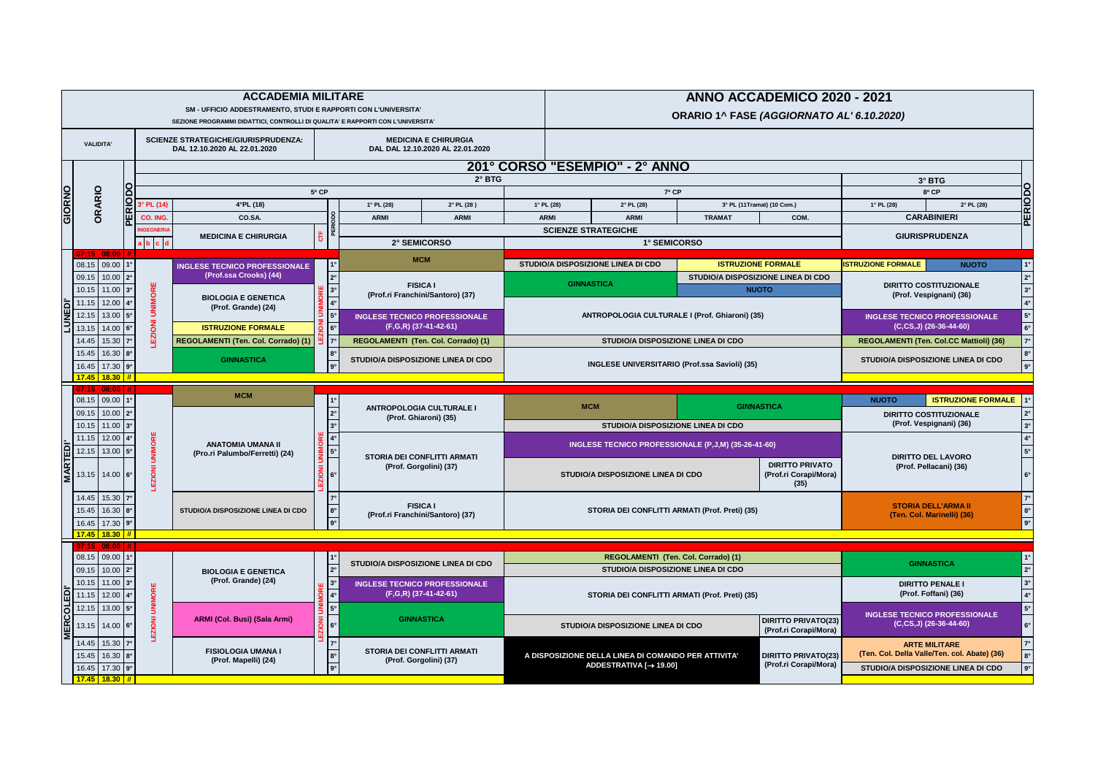|                          |                       |                     |                                     |                                                      | <b>ACCADEMIA MILITARE</b><br>SM - UFFICIO ADDESTRAMENTO, STUDI E RAPPORTI CON L'UNIVERSITA'<br>SEZIONE PROGRAMMI DIDATTICI, CONTROLLI DI QUALITA' E RAPPORTI CON L'UNIVERSITA' |                |                        |                                                         |  |
|--------------------------|-----------------------|---------------------|-------------------------------------|------------------------------------------------------|--------------------------------------------------------------------------------------------------------------------------------------------------------------------------------|----------------|------------------------|---------------------------------------------------------|--|
|                          | <b>VALIDITA'</b>      |                     |                                     |                                                      | <b>SCIENZE STRATEGICHE/GIURISPRUDENZA:</b><br>DAL 12.10.2020 AL 22.01.2020                                                                                                     |                |                        | <b>MEDICINA E 0</b><br><b>DAL DAL 12.10.202</b>         |  |
|                          |                       |                     |                                     |                                                      |                                                                                                                                                                                |                |                        |                                                         |  |
|                          |                       |                     |                                     |                                                      |                                                                                                                                                                                | 5ª CP          |                        |                                                         |  |
| GIORNO                   | ORARIO                |                     |                                     | 3° PL (14)                                           | 4°PL(18)                                                                                                                                                                       |                |                        | $1^{\circ}$ PL (28)                                     |  |
|                          |                       |                     | $\alpha$<br>Ш                       | CO. ING.                                             | CO.SA.                                                                                                                                                                         |                | <b>RIODO</b>           | <b>ARMI</b>                                             |  |
|                          |                       |                     | Δ                                   | <b>INGEGNERIA</b><br>d<br>l b<br>$\mathbf{C}$<br>a l | <b>MEDICINA E CHIRURGIA</b>                                                                                                                                                    | CTF            | Щ<br>൨                 | 2° SEMICO                                               |  |
|                          | 07:15                 | 08:00               | $\parallel$ //                      |                                                      |                                                                                                                                                                                |                |                        | <b>MCM</b>                                              |  |
|                          | 08.15                 | 09.00               | $1^{\circ}$                         |                                                      | <b>INGLESE TECNICO PROFESSIONALE</b><br>(Prof.ssa Crooks) (44)                                                                                                                 |                | 1 <sup>°</sup>         |                                                         |  |
|                          | 09.15                 | 10.00               | $2^{\circ}$                         |                                                      |                                                                                                                                                                                |                | $2^{\circ}$            | <b>FISICA</b>                                           |  |
|                          | 10.15                 | 11.00               | $3^\circ$                           |                                                      | <b>BIOLOGIA E GENETICA</b>                                                                                                                                                     | <b>UNIMORE</b> | $3^\circ$              | (Prof.ri Franchini/S                                    |  |
| <b>NEDI</b>              | 11.15                 | 12.00               | $4^\circ$                           |                                                      | (Prof. Grande) (24)                                                                                                                                                            |                | $4^\circ$<br>$5^\circ$ |                                                         |  |
| $\overline{\phantom{0}}$ | 12.15<br>13.15        | 13.00<br>14.00      | $5^\circ$<br>$6^\circ$              |                                                      | <b>ISTRUZIONE FORMALE</b>                                                                                                                                                      |                | $6^\circ$              | <b>INGLESE TECNICO PR</b><br>$(F,G,R)$ (37-41)          |  |
|                          | 14.45                 | 15.30               | $7^\circ$                           | <b>EZIONI UNIMORE</b>                                | <b>REGOLAMENTI (Ten. Col. Corrado) (1)</b>                                                                                                                                     | LEZIONI        | $7^\circ$              | <b>REGOLAMENTI (Ten. 0</b>                              |  |
|                          | 15.45                 | 16.30               | $8^\circ$                           |                                                      |                                                                                                                                                                                |                | $8^\circ$              |                                                         |  |
|                          | 16.45                 | 17.30               | $9^\circ$                           |                                                      | <b>GINNASTICA</b>                                                                                                                                                              |                | $9^\circ$              | <b>STUDIO/A DISPOSIZION</b>                             |  |
|                          | <b>17.45</b>          | <b>18.30</b>        | $\boldsymbol{\mathit{II}}$          |                                                      |                                                                                                                                                                                |                |                        |                                                         |  |
|                          | 07:15                 | 08:00               | $\mathcal{H}$                       |                                                      | <b>MCM</b>                                                                                                                                                                     |                |                        |                                                         |  |
|                          | 08.15                 | 09.00               | 1 <sup>°</sup>                      |                                                      |                                                                                                                                                                                |                | $1^{\circ}$            | <b>ANTROPOLOGIA CI</b>                                  |  |
|                          | 09.15                 | 10.00               | $2^{\circ}$                         |                                                      |                                                                                                                                                                                |                | $2^{\circ}$            | (Prof. Ghiaror                                          |  |
|                          |                       | 11.00               | $3^\circ$                           |                                                      |                                                                                                                                                                                |                | $3^\circ$              |                                                         |  |
|                          | 10.15                 |                     |                                     |                                                      |                                                                                                                                                                                |                |                        |                                                         |  |
|                          | 11.15                 | 12.00               | $4^\circ$                           |                                                      | <b>ANATOMIA UMANA II</b>                                                                                                                                                       |                | $4^\circ$              |                                                         |  |
|                          | 12.15                 | 13.00               | $5^\circ$                           |                                                      | (Pro.ri Palumbo/Ferretti) (24)                                                                                                                                                 | <b>UNIMORE</b> | $5^\circ$              | <b>STORIA DEI CONFL</b><br>(Prof. Gorgoli               |  |
| <b>MARTEDI'</b>          | 13.15                 | 14.00               | $6^\circ$                           | <b>LEZIONI UNIMORE</b>                               |                                                                                                                                                                                | <b>LKOIZ3</b>  | $6^\circ$              |                                                         |  |
|                          | 14.45                 | 15.30               | $7^\circ$                           |                                                      |                                                                                                                                                                                |                | $7^\circ$              |                                                         |  |
|                          | 15.45                 | 16.30               | $8^\circ$                           |                                                      | <b>STUDIO/A DISPOSIZIONE LINEA DI CDO</b>                                                                                                                                      |                | $8^\circ$              | <b>FISICA</b><br>(Prof.ri Franchini/S                   |  |
|                          | 16.45                 | 17.30               | $9^\circ$                           |                                                      |                                                                                                                                                                                |                | $9^\circ$              |                                                         |  |
|                          | <b>17.45</b>          | <b>18.30</b>        |                                     |                                                      |                                                                                                                                                                                |                |                        |                                                         |  |
|                          | 07:15<br>08.15        | 08:00<br>09.00      | $^{\prime\prime}$<br>1 <sup>°</sup> |                                                      |                                                                                                                                                                                |                | $1^{\circ}$            |                                                         |  |
|                          | 09.15                 | 10.00               | $2^{\circ}$                         |                                                      | <b>BIOLOGIA E GENETICA</b>                                                                                                                                                     |                | $2^{\circ}$            | <b>STUDIO/A DISPOSIZION</b>                             |  |
|                          | 10.15                 | $11.00$ $3^{\circ}$ |                                     |                                                      | (Prof. Grande) (24)                                                                                                                                                            |                | $3^\circ$              | <b>INGLESE TECNICO PR</b>                               |  |
| $\overline{\phantom{a}}$ | 11.15                 | 12.00               | $4^\circ$                           |                                                      |                                                                                                                                                                                |                | $4^\circ$              | $(\overline{\mathsf{F}},\mathsf{G},\mathsf{R})$ (37-41- |  |
| ED                       | 12.15                 | 13.00               | $5^\circ$                           |                                                      |                                                                                                                                                                                |                | $5^\circ$              |                                                         |  |
|                          | 13.15                 | 14.00               | $6^\circ$                           |                                                      | <b>ARMI (Col. Busi) (Sala Armi)</b>                                                                                                                                            | <b>UNIMORE</b> | $6^\circ$              | <b>GINNASTI</b>                                         |  |
| <b>MERCOL</b>            | 14.45                 | 15.30               | $7^\circ$                           | <b>LEZIONI UNIMORE</b>                               |                                                                                                                                                                                | <b>LEZIONI</b> | $7^\circ$              |                                                         |  |
|                          | 15.45                 | 16.30               | $8^\circ$                           |                                                      | <b>FISIOLOGIA UMANA I</b>                                                                                                                                                      |                | $8^\circ$              | <b>STORIA DEI CONFL</b>                                 |  |
|                          | 16.45<br><b>17.45</b> | 17.30<br>18.30 7    | $9^\circ$                           |                                                      | (Prof. Mapelli) (24)                                                                                                                                                           |                | $9^\circ$              | (Prof. Gorgoli                                          |  |

|                                                    |                                | <b>ACCADEMIA MILITARE</b><br><b>SM - UFFICIO ADDESTRAMENTO, STUDI E RAPPORTI CON L'UNIVERSITA'</b>                                                                                                                               |                  |                                                               |                      |  | ANNO ACCADEMICO 2020 - 2021<br>ORARIO 1^ FASE (AGGIORNATO AL' 6.10.2020) |                                                                                            |               |                                                                        |                                           |                                                                                                                   |
|----------------------------------------------------|--------------------------------|----------------------------------------------------------------------------------------------------------------------------------------------------------------------------------------------------------------------------------|------------------|---------------------------------------------------------------|----------------------|--|--------------------------------------------------------------------------|--------------------------------------------------------------------------------------------|---------------|------------------------------------------------------------------------|-------------------------------------------|-------------------------------------------------------------------------------------------------------------------|
| <b>VALIDITA'</b>                                   |                                | SEZIONE PROGRAMMI DIDATTICI, CONTROLLI DI QUALITA' E RAPPORTI CON L'UNIVERSITA'<br><b>MEDICINA E CHIRURGIA</b><br><b>SCIENZE STRATEGICHE/GIURISPRUDENZA:</b><br>DAL 12.10.2020 AL 22.01.2020<br>DAL DAL 12.10.2020 AL 22.01.2020 |                  |                                                               |                      |  |                                                                          |                                                                                            |               |                                                                        |                                           |                                                                                                                   |
|                                                    | 201° CORSO "ESEMPIO" - 2° ANNO |                                                                                                                                                                                                                                  |                  |                                                               |                      |  |                                                                          |                                                                                            |               |                                                                        |                                           |                                                                                                                   |
|                                                    |                                |                                                                                                                                                                                                                                  |                  |                                                               | $2^\circ$ BTG        |  |                                                                          |                                                                                            |               |                                                                        |                                           | 3° BTG                                                                                                            |
|                                                    |                                |                                                                                                                                                                                                                                  | $5a$ CP          |                                                               |                      |  |                                                                          | 7ª CP                                                                                      |               |                                                                        |                                           | PERIODO<br>$8a$ CP                                                                                                |
|                                                    | $\sum$ 3° PL (14)              | $4^{\circ}$ PL (18)                                                                                                                                                                                                              |                  | $1^{\circ}$ PL (28)                                           | $2^{\circ}$ PL (28 ) |  | $1^{\circ}$ PL (28)                                                      | $2^{\circ}$ PL (28)                                                                        |               | 3° PL (11Tramat) (10 Com.)                                             | $1°$ PL (28)                              | $2°$ PL (28)                                                                                                      |
|                                                    | CO. ING.<br><b>INGEGNERIA</b>  | CO.SA.                                                                                                                                                                                                                           |                  | <b>ARMI</b>                                                   | <b>ARMI</b>          |  | <b>ARMI</b><br><b>SCIENZE STRATEGICHE</b>                                | <b>ARMI</b>                                                                                | <b>TRAMAT</b> | COM.                                                                   |                                           | <b>CARABINIERI</b>                                                                                                |
|                                                    | $b \mid c \mid d$              | <b>MEDICINA E CHIRURGIA</b>                                                                                                                                                                                                      |                  | <b>2° SEMICORSO</b>                                           |                      |  |                                                                          | 1° SEMICORSO                                                                               |               |                                                                        |                                           | <b>GIURISPRUDENZA</b>                                                                                             |
|                                                    |                                |                                                                                                                                                                                                                                  |                  | <b>MCM</b>                                                    |                      |  |                                                                          |                                                                                            |               |                                                                        |                                           |                                                                                                                   |
| 08.15 09.00 1°<br>09.15 10.00 2°                   |                                | <b>INGLESE TECNICO PROFESSIONALE</b><br>(Prof.ssa Crooks) (44)                                                                                                                                                                   |                  |                                                               |                      |  |                                                                          | <b>STUDIO/A DISPOSIZIONE LINEA DI CDO</b>                                                  |               | <b>ISTRUZIONE FORMALE</b><br><b>STUDIO/A DISPOSIZIONE LINEA DI CDO</b> | <b>ISTRUZIONE FORMALE</b>                 | <b>NUOTO</b>                                                                                                      |
| $10.15$   11.00   $3^{\circ}$                      |                                |                                                                                                                                                                                                                                  |                  | <b>FISICA I</b>                                               |                      |  | <b>GINNASTICA</b>                                                        |                                                                                            |               | <b>NUOTO</b>                                                           |                                           | <b>DIRITTO COSTITUZIONALE</b>                                                                                     |
| 11.15 $\vert$ 12.00 $\vert$ 4°                     |                                | <b>BIOLOGIA E GENETICA</b>                                                                                                                                                                                                       |                  | (Prof.ri Franchini/Santoro) (37)                              |                      |  |                                                                          |                                                                                            |               |                                                                        |                                           | (Prof. Vespignani) (36)                                                                                           |
| 12.15 13.00 5°                                     |                                | (Prof. Grande) (24)                                                                                                                                                                                                              |                  | <b>INGLESE TECNICO PROFESSIONALE</b>                          |                      |  |                                                                          | <b>ANTROPOLOGIA CULTURALE I (Prof. Ghiaroni) (35)</b>                                      |               |                                                                        |                                           | <b>INGLESE TECNICO PROFESSIONALE</b>                                                                              |
| 13.15 14.00 6°                                     |                                | <b>ISTRUZIONE FORMALE</b>                                                                                                                                                                                                        |                  | (F,G,R) (37-41-42-61)                                         |                      |  |                                                                          |                                                                                            |               |                                                                        |                                           | $(C, CS, J)$ (26-36-44-60)                                                                                        |
| 14.45 15.30 7°                                     |                                | REGOLAMENTI (Ten. Col. Corrado) (1)                                                                                                                                                                                              |                  | <b>REGOLAMENTI (Ten. Col. Corrado) (1)</b>                    |                      |  |                                                                          | <b>STUDIO/A DISPOSIZIONE LINEA DI CDO</b>                                                  |               |                                                                        |                                           | REGOLAMENTI (Ten. Col.CC Mattioli) (36)                                                                           |
| 15.45 16.30 8°                                     |                                | <b>GINNASTICA</b>                                                                                                                                                                                                                |                  | <b>STUDIO/A DISPOSIZIONE LINEA DI CDO</b>                     |                      |  |                                                                          |                                                                                            |               |                                                                        | <b>STUDIO/A DISPOSIZIONE LINEA DI CDO</b> |                                                                                                                   |
| 16.45 17.30 9°                                     |                                |                                                                                                                                                                                                                                  |                  |                                                               |                      |  |                                                                          | <b>INGLESE UNIVERSITARIO (Prof.ssa Savioli) (35)</b>                                       |               |                                                                        |                                           |                                                                                                                   |
|                                                    |                                |                                                                                                                                                                                                                                  |                  |                                                               |                      |  |                                                                          |                                                                                            |               |                                                                        |                                           |                                                                                                                   |
| 17.45 18.30 7<br>07:15 08:00                       |                                |                                                                                                                                                                                                                                  |                  |                                                               |                      |  |                                                                          |                                                                                            |               |                                                                        |                                           |                                                                                                                   |
| 08.15 09.00 1°<br>09.15 10.00 2°                   |                                | <b>MCM</b>                                                                                                                                                                                                                       |                  | <b>ANTROPOLOGIA CULTURALE I</b>                               |                      |  | <b>MCM</b>                                                               |                                                                                            |               | <b>GINNASTICA</b>                                                      | <b>NUOTO</b>                              | <b>ISTRUZIONE FORMALE</b><br><b>DIRITTO COSTITUZIONALE</b>                                                        |
| $10.15$ 11.00 $3°$                                 |                                |                                                                                                                                                                                                                                  |                  | (Prof. Ghiaroni) (35)                                         |                      |  |                                                                          | <b>STUDIO/A DISPOSIZIONE LINEA DI CDO</b>                                                  |               |                                                                        |                                           | (Prof. Vespignani) (36)<br>$3^\circ$                                                                              |
| 11.15 12.00 4°<br>12.15 13.00 5°                   |                                | <b>ANATOMIA UMANA II</b><br>(Pro.ri Palumbo/Ferretti) (24)                                                                                                                                                                       | $\frac{5}{7}$ 5° | STORIA DEI CONFLITTI ARMATI                                   |                      |  |                                                                          | <b>INGLESE TECNICO PROFESSIONALE (P,J,M) (35-26-41-60)</b>                                 |               |                                                                        |                                           |                                                                                                                   |
| 13.15 14.00 6°                                     |                                |                                                                                                                                                                                                                                  |                  | (Prof. Gorgolini) (37)                                        |                      |  |                                                                          | <b>STUDIO/A DISPOSIZIONE LINEA DI CDO</b>                                                  |               | <b>DIRITTO PRIVATO</b><br>(Prof.ri Corapi/Mora)<br>(35)                |                                           | <b>DIRITTO DEL LAVORO</b><br>(Prof. Pellacani) (36)                                                               |
| 14.45 15.30 7°<br>15.45   16.30   8°               |                                | <b>STUDIO/A DISPOSIZIONE LINEA DI CDO</b>                                                                                                                                                                                        | $ 8^\circ $      | <b>FISICA I</b><br>(Prof.ri Franchini/Santoro) (37)           |                      |  |                                                                          | <b>STORIA DEI CONFLITTI ARMATI (Prof. Preti) (35)</b>                                      |               |                                                                        |                                           | <b>STORIA DELL'ARMA II</b><br>(Ten. Col. Marinelli) (36)                                                          |
| 16.45 17.30 9°<br><mark>17.45   18.30   //</mark>  |                                |                                                                                                                                                                                                                                  |                  |                                                               |                      |  |                                                                          |                                                                                            |               |                                                                        |                                           |                                                                                                                   |
| 07:15 08:00                                        |                                |                                                                                                                                                                                                                                  |                  |                                                               |                      |  |                                                                          |                                                                                            |               |                                                                        |                                           |                                                                                                                   |
| 08.15 09.00 1°                                     |                                |                                                                                                                                                                                                                                  |                  | <b>STUDIO/A DISPOSIZIONE LINEA DI CDO</b>                     |                      |  |                                                                          | REGOLAMENTI (Ten. Col. Corrado) (1)                                                        |               |                                                                        |                                           | <b>GINNASTICA</b>                                                                                                 |
| 09.15 10.00 2°                                     |                                | <b>BIOLOGIA E GENETICA</b>                                                                                                                                                                                                       |                  |                                                               |                      |  |                                                                          | <b>STUDIO/A DISPOSIZIONE LINEA DI CDO</b>                                                  |               |                                                                        |                                           |                                                                                                                   |
| $10.15$   11.00   $3^{\circ}$  <br>11.15 12.00 4°  |                                | (Prof. Grande) (24)                                                                                                                                                                                                              |                  | <b>INGLESE TECNICO PROFESSIONALE</b><br>(F,G,R) (37-41-42-61) |                      |  |                                                                          | STORIA DEI CONFLITTI ARMATI (Prof. Preti) (35)                                             |               |                                                                        |                                           | <b>DIRITTO PENALE I</b><br>(Prof. Foffani) (36)                                                                   |
| 12.15 13.00 5°                                     |                                |                                                                                                                                                                                                                                  |                  |                                                               |                      |  |                                                                          |                                                                                            |               |                                                                        |                                           |                                                                                                                   |
| $13.15$   14.00   6°                               |                                | <b>ARMI (Col. Busi) (Sala Armi)</b>                                                                                                                                                                                              |                  | <b>GINNASTICA</b>                                             |                      |  |                                                                          | <b>STUDIO/A DISPOSIZIONE LINEA DI CDO</b>                                                  |               | DIRITTO PRIVATO(23)  <br>(Prof.ri Corapi/Mora)                         |                                           | <b>INGLESE TECNICO PROFESSIONALE</b><br>$(C, CS, J)$ (26-36-44-60)                                                |
| 14.45 15.30 7°<br>15.45 16.30 8°<br>16.45 17.30 9° |                                | <b>FISIOLOGIA UMANA I</b><br>(Prof. Mapelli) (24)                                                                                                                                                                                |                  | STORIA DEI CONFLITTI ARMATI<br>(Prof. Gorgolini) (37)         |                      |  |                                                                          | A DISPOSIZIONE DELLA LINEA DI COMANDO PER ATTIVITA'<br>ADDESTRATIVA [ $\rightarrow$ 19.00] |               | <b>DIRITTO PRIVATO(23)</b><br>(Prof.ri Corapi/Mora)                    |                                           | <b>ARTE MILITARE</b><br>(Ten. Col. Della Valle/Ten. col. Abate) (36)<br><b>STUDIO/A DISPOSIZIONE LINEA DI CDO</b> |

| <b>NNO</b> |                                           |      |                                           |                                                                   |  |  |  |
|------------|-------------------------------------------|------|-------------------------------------------|-------------------------------------------------------------------|--|--|--|
|            |                                           |      | 3° BTG                                    |                                                                   |  |  |  |
| 7ª CP      |                                           |      |                                           | 8ª CP                                                             |  |  |  |
|            | 3° PL (11Tramat) (10 Com.)                |      | $1°$ PL (28)                              | $2^{\circ}$ PL (28)                                               |  |  |  |
|            | <b>TRAMAT</b>                             | COM. |                                           | <b>CARABINIERI</b>                                                |  |  |  |
|            |                                           |      |                                           |                                                                   |  |  |  |
|            | <b>EMICORSO</b>                           |      |                                           | <b>GIURISPRUDENZA</b>                                             |  |  |  |
|            |                                           |      |                                           |                                                                   |  |  |  |
|            | <b>ISTRUZIONE FORMALE</b>                 |      | <b>ISTRUZIONE FORMALE</b>                 | <b>NUOTO</b>                                                      |  |  |  |
|            | <b>STUDIO/A DISPOSIZIONE LINEA DI CDO</b> |      |                                           |                                                                   |  |  |  |
|            | <b>NUOTO</b>                              |      |                                           | <b>DIRITTO COSTITUZIONALE</b><br>(Prof. Vespignani) (36)          |  |  |  |
|            |                                           |      |                                           |                                                                   |  |  |  |
|            | <b>TURALE I (Prof. Ghiaroni) (35)</b>     |      |                                           | <b>INGLESE TECNICO PROFESSIONAL</b><br>$(C, CS, J)$ (26-36-44-60) |  |  |  |
|            | <b>SIZIONE LINEA DI CDO</b>               |      | <b>REGOLAMENTI (Ten. Col.CC Mattioli)</b> |                                                                   |  |  |  |
|            | <b>ARIO (Prof.ssa Savioli) (35)</b>       |      | <b>STUDIO/A DISPOSIZIONE LINEA DI C</b>   |                                                                   |  |  |  |
|            |                                           |      |                                           |                                                                   |  |  |  |